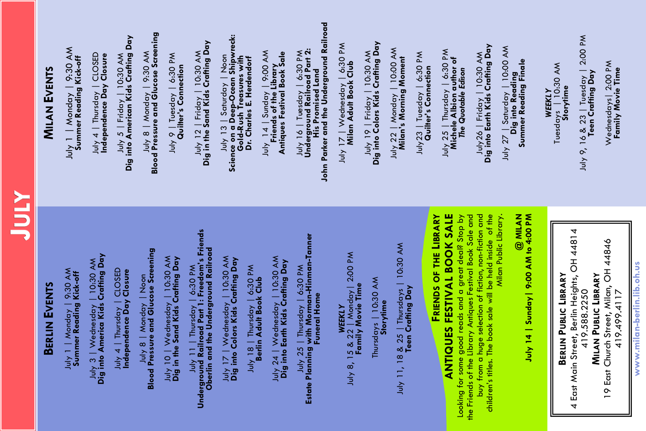| <b>ATAC</b>                                                                                                                                                                                |                                                                                                                                   |
|--------------------------------------------------------------------------------------------------------------------------------------------------------------------------------------------|-----------------------------------------------------------------------------------------------------------------------------------|
| <b>BERLIN EVENTS</b>                                                                                                                                                                       | <b>MILAN EVENTS</b>                                                                                                               |
| July 1   Monday   9:30 AM<br><b>Summer Reading Kick-off</b>                                                                                                                                | July 1   Monday   9:30 AM<br>Summer Reading Kick-off                                                                              |
| July 3   Wednesday   10:30 AM<br>Dig into America Kids Crafting Day                                                                                                                        | July 4   Thursday   CLOSED<br>Independence Day Closure                                                                            |
| July 4   Thursday   CLOSED<br>Independence Day Closure                                                                                                                                     | Dig into American Kids Crafting Day<br>5   Friday   10:30 AM<br>$\frac{1}{2}$                                                     |
| July 8   Monday   Noon<br><b>Blood Pressure and Glucose Screening</b>                                                                                                                      | July 8   Monday   9:30 AM<br>Blood Pressure and Glucose Screening                                                                 |
| انار 10   Wednesday   10:30 AM<br>Dig in the Sand Kids Crafting Day                                                                                                                        | July 9   Tuesday   6:30 PM<br><b>Quilter's Connection</b>                                                                         |
| ا ہارا ہار کا اس∪sday   6،30 PM<br>Underground Railroad Part 1: Freedom's Friends<br>Oberlin and the Underground Railroad                                                                  | July 12   Friday   10:30 AM<br>Dig in the Sand Kids Crafting Day                                                                  |
| ارار 17   Wednesday   10:30 AM<br>Dig into Colors Kids Crafting Day<br>6:30 PM<br>July 18   Thursday   6:30 H<br>Berlin Adult Book Club                                                    | July 13   Saturday   Noon<br>Science on a Deep–Ocean Shipwreck:<br>Gold–Rush Treasures with<br>Dr. Charles E. Herdendorf          |
| July 24   Wednesday   10:30 AM<br><b>Dig into Earth Kids Crafting Day</b>                                                                                                                  | July 14   Sunday   9:00 AM<br>  Friends of the Library<br>  Antiques Festival Book Sale                                           |
| July 25   Thursday   6:30 PM<br>Estate Planning with Morman-Hinman-Tanner<br>Funeral Home                                                                                                  | ا برابا / 16   Tuesday   6:30 PM<br>Underground Railroad Part 2:<br>His Promised Land<br>John Parker and the Underground Railroad |
| WEEKLY<br>July 8, 15 & 22   Monday  2:00 PM<br>Family Movie Time                                                                                                                           | July 17   Wednesday   6:30 PM<br><b>Milan Adult Book Club</b>                                                                     |
| Thursdays   10:30 AM<br><b>Storytime</b>                                                                                                                                                   | July 19   Friday   10:30 AM<br><b>Dig into Colors Kids Crafting Day</b>                                                           |
| July 11, 18 & 25   Thursdays   10:30 AM<br>Teen Crafting Day                                                                                                                               | July 22   Monday   10:00 AM<br><b>Milan's Morning Moment</b>                                                                      |
|                                                                                                                                                                                            | July 23   Tuesday   6:30 PM<br>Quilter's Connection                                                                               |
| <b>ANTIQUES FESTIVAL BOOK SALE</b><br>Looking for some good reads and a great deal? Stop by<br>the Friends of the Library Antiques Festival Book Sale and<br><b>FRIENDS OF THE LIBRARY</b> | July 25   Thursday   6:30 PM<br>Michele Albion author of<br>The Quotable Edison                                                   |
| buy from a huge selection of fiction, non-fiction and<br>of the<br>children's titles. The book sale will be held inside                                                                    | July26   Friday   10:30 AM<br>Dig into Earth Kids Crafting Day                                                                    |
| $@$ MILAN<br>July 14   Sunday   9:00 AM to 4:00 PM<br>Milan Public Library.                                                                                                                | July 27   Saturday   10:00 AM<br>Dig into Reading<br>Summer Reading Finale                                                        |
|                                                                                                                                                                                            | Tuesdays   10:30 AM<br><b>WEEKLY</b>                                                                                              |
| 4 East Main Street, Berlin Heights, OH 44814<br><b>BERLIN PUBLIC LIBRARY</b>                                                                                                               | Storytime                                                                                                                         |
| <b>MILAN PUBLIC LIBRARY</b><br>419.588.2250                                                                                                                                                | July 9, 16 & 23   Tuesday   2:00 PM<br>Teen Crafting Day                                                                          |
| 19 East Church Street, Milan, OH 44846<br>4194994117                                                                                                                                       | Wednesdays   2:00 PM<br><b>Family Movie Time</b>                                                                                  |
| www.milan-berlin.lib.oh.us                                                                                                                                                                 |                                                                                                                                   |